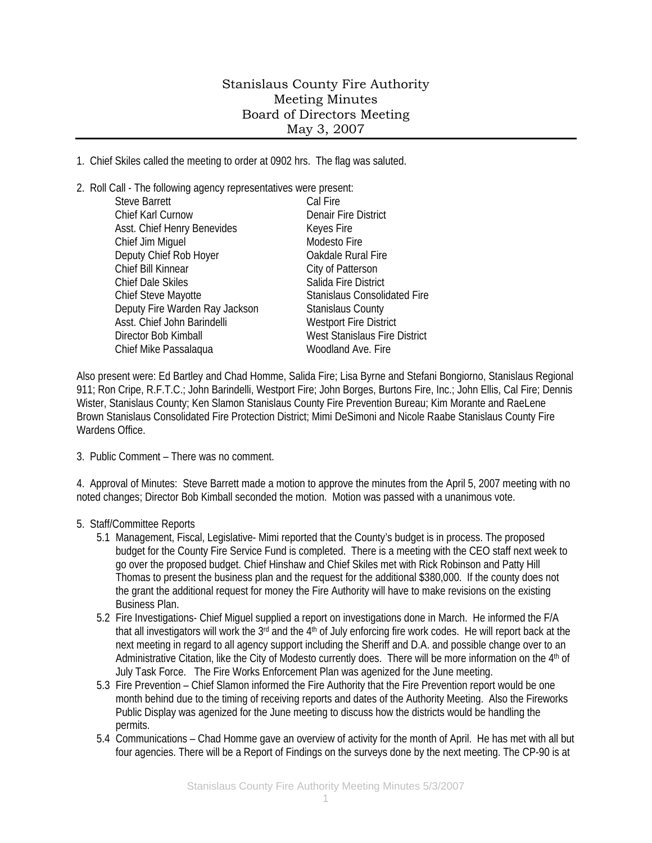## Stanislaus County Fire Authority Meeting Minutes Board of Directors Meeting May 3, 2007

1. Chief Skiles called the meeting to order at 0902 hrs. The flag was saluted.

2. Roll Call - The following agency representatives were present:

| <b>Steve Barrett</b>           | Cal Fire                            |
|--------------------------------|-------------------------------------|
| Chief Karl Curnow              | <b>Denair Fire District</b>         |
| Asst. Chief Henry Benevides    | Keyes Fire                          |
| Chief Jim Miguel               | Modesto Fire                        |
| Deputy Chief Rob Hoyer         | Oakdale Rural Fire                  |
| Chief Bill Kinnear             | City of Patterson                   |
| <b>Chief Dale Skiles</b>       | Salida Fire District                |
| Chief Steve Mayotte            | <b>Stanislaus Consolidated Fire</b> |
| Deputy Fire Warden Ray Jackson | <b>Stanislaus County</b>            |
| Asst. Chief John Barindelli    | <b>Westport Fire District</b>       |
| Director Bob Kimball           | West Stanislaus Fire District       |
| Chief Mike Passalaqua          | Woodland Ave. Fire                  |
|                                |                                     |

Also present were: Ed Bartley and Chad Homme, Salida Fire; Lisa Byrne and Stefani Bongiorno, Stanislaus Regional 911; Ron Cripe, R.F.T.C.; John Barindelli, Westport Fire; John Borges, Burtons Fire, Inc.; John Ellis, Cal Fire; Dennis Wister, Stanislaus County; Ken Slamon Stanislaus County Fire Prevention Bureau; Kim Morante and RaeLene Brown Stanislaus Consolidated Fire Protection District; Mimi DeSimoni and Nicole Raabe Stanislaus County Fire Wardens Office

3. Public Comment – There was no comment.

4. Approval of Minutes: Steve Barrett made a motion to approve the minutes from the April 5, 2007 meeting with no noted changes; Director Bob Kimball seconded the motion. Motion was passed with a unanimous vote.

- 5. Staff/Committee Reports
	- 5.1 Management, Fiscal, Legislative- Mimi reported that the County's budget is in process. The proposed budget for the County Fire Service Fund is completed. There is a meeting with the CEO staff next week to go over the proposed budget. Chief Hinshaw and Chief Skiles met with Rick Robinson and Patty Hill Thomas to present the business plan and the request for the additional \$380,000. If the county does not the grant the additional request for money the Fire Authority will have to make revisions on the existing Business Plan.
	- 5.2 Fire Investigations- Chief Miguel supplied a report on investigations done in March. He informed the F/A that all investigators will work the 3rd and the 4<sup>th</sup> of July enforcing fire work codes. He will report back at the next meeting in regard to all agency support including the Sheriff and D.A. and possible change over to an Administrative Citation, like the City of Modesto currently does. There will be more information on the 4<sup>th</sup> of July Task Force. The Fire Works Enforcement Plan was agenized for the June meeting.
	- 5.3 Fire Prevention Chief Slamon informed the Fire Authority that the Fire Prevention report would be one month behind due to the timing of receiving reports and dates of the Authority Meeting. Also the Fireworks Public Display was agenized for the June meeting to discuss how the districts would be handling the permits.
	- 5.4 Communications Chad Homme gave an overview of activity for the month of April. He has met with all but four agencies. There will be a Report of Findings on the surveys done by the next meeting. The CP-90 is at

1